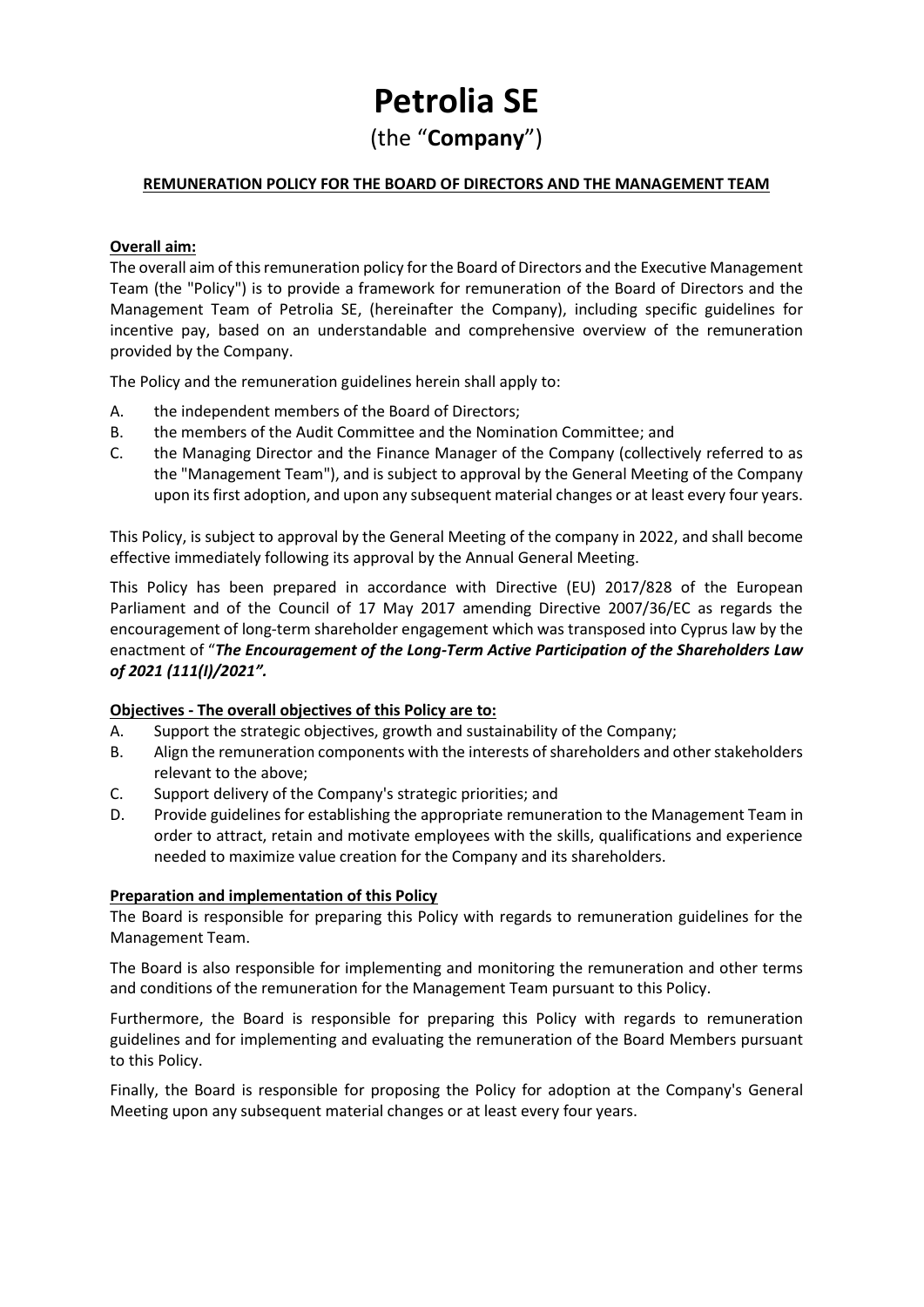# **Petrolia SE**

(the "**Company**")

# **REMUNERATION POLICY FOR THE BOARD OF DIRECTORS AND THE MANAGEMENT TEAM**

# **Overall aim:**

The overall aim of this remuneration policy for the Board of Directors and the Executive Management Team (the "Policy") is to provide a framework for remuneration of the Board of Directors and the Management Team of Petrolia SE, (hereinafter the Company), including specific guidelines for incentive pay, based on an understandable and comprehensive overview of the remuneration provided by the Company.

The Policy and the remuneration guidelines herein shall apply to:

- A. the independent members of the Board of Directors;
- B. the members of the Audit Committee and the Nomination Committee; and
- C. the Managing Director and the Finance Manager of the Company (collectively referred to as the "Management Team"), and is subject to approval by the General Meeting of the Company upon its first adoption, and upon any subsequent material changes or at least every four years.

This Policy, is subject to approval by the General Meeting of the company in 2022, and shall become effective immediately following its approval by the Annual General Meeting.

This Policy has been prepared in accordance with Directive (EU) 2017/828 of the European Parliament and of the Council of 17 May 2017 amending Directive 2007/36/EC as regards the encouragement of long-term shareholder engagement which was transposed into Cyprus law by the enactment of "*The Encouragement of the Long-Term Active Participation of the Shareholders Law of 2021 (111(I)/2021".*

### **Objectives - The overall objectives of this Policy are to:**

- A. Support the strategic objectives, growth and sustainability of the Company;
- B. Align the remuneration components with the interests of shareholders and other stakeholders relevant to the above;
- C. Support delivery of the Company's strategic priorities; and
- D. Provide guidelines for establishing the appropriate remuneration to the Management Team in order to attract, retain and motivate employees with the skills, qualifications and experience needed to maximize value creation for the Company and its shareholders.

### **Preparation and implementation of this Policy**

The Board is responsible for preparing this Policy with regards to remuneration guidelines for the Management Team.

The Board is also responsible for implementing and monitoring the remuneration and other terms and conditions of the remuneration for the Management Team pursuant to this Policy.

Furthermore, the Board is responsible for preparing this Policy with regards to remuneration guidelines and for implementing and evaluating the remuneration of the Board Members pursuant to this Policy.

Finally, the Board is responsible for proposing the Policy for adoption at the Company's General Meeting upon any subsequent material changes or at least every four years.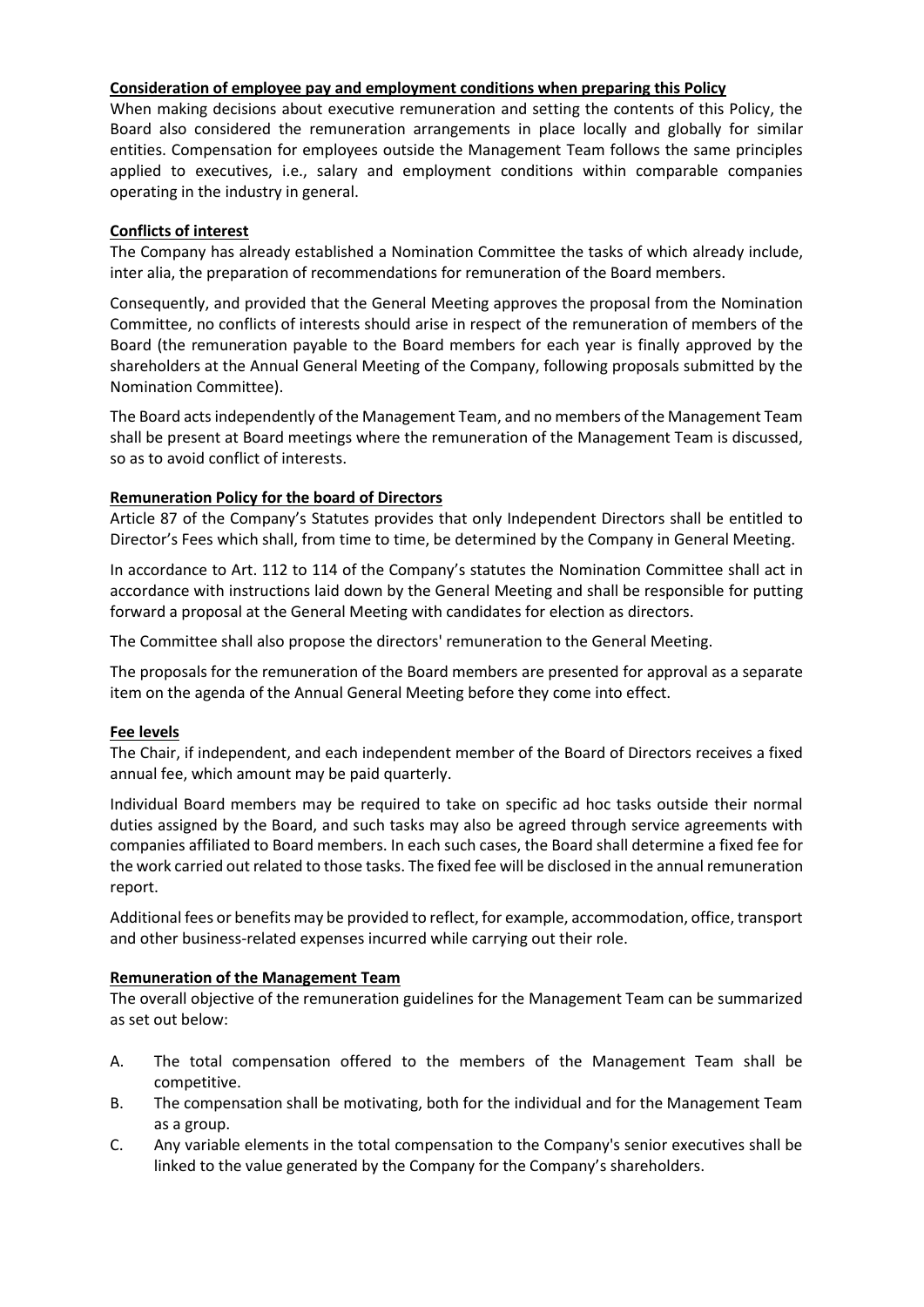# **Consideration of employee pay and employment conditions when preparing this Policy**

When making decisions about executive remuneration and setting the contents of this Policy, the Board also considered the remuneration arrangements in place locally and globally for similar entities. Compensation for employees outside the Management Team follows the same principles applied to executives, i.e., salary and employment conditions within comparable companies operating in the industry in general.

# **Conflicts of interest**

The Company has already established a Nomination Committee the tasks of which already include, inter alia, the preparation of recommendations for remuneration of the Board members.

Consequently, and provided that the General Meeting approves the proposal from the Nomination Committee, no conflicts of interests should arise in respect of the remuneration of members of the Board (the remuneration payable to the Board members for each year is finally approved by the shareholders at the Annual General Meeting of the Company, following proposals submitted by the Nomination Committee).

The Board actsindependently of the Management Team, and no members of the Management Team shall be present at Board meetings where the remuneration of the Management Team is discussed, so as to avoid conflict of interests.

# **Remuneration Policy for the board of Directors**

Article 87 of the Company's Statutes provides that only Independent Directors shall be entitled to Director's Fees which shall, from time to time, be determined by the Company in General Meeting.

In accordance to Art. 112 to 114 of the Company's statutes the Nomination Committee shall act in accordance with instructions laid down by the General Meeting and shall be responsible for putting forward a proposal at the General Meeting with candidates for election as directors.

The Committee shall also propose the directors' remuneration to the General Meeting.

The proposals for the remuneration of the Board members are presented for approval as a separate item on the agenda of the Annual General Meeting before they come into effect.

### **Fee levels**

The Chair, if independent, and each independent member of the Board of Directors receives a fixed annual fee, which amount may be paid quarterly.

Individual Board members may be required to take on specific ad hoc tasks outside their normal duties assigned by the Board, and such tasks may also be agreed through service agreements with companies affiliated to Board members. In each such cases, the Board shall determine a fixed fee for the work carried out related to those tasks. The fixed fee will be disclosed in the annual remuneration report.

Additional fees or benefits may be provided to reflect, for example, accommodation, office, transport and other business-related expenses incurred while carrying out their role.

### **Remuneration of the Management Team**

The overall objective of the remuneration guidelines for the Management Team can be summarized as set out below:

- A. The total compensation offered to the members of the Management Team shall be competitive.
- B. The compensation shall be motivating, both for the individual and for the Management Team as a group.
- C. Any variable elements in the total compensation to the Company's senior executives shall be linked to the value generated by the Company for the Company's shareholders.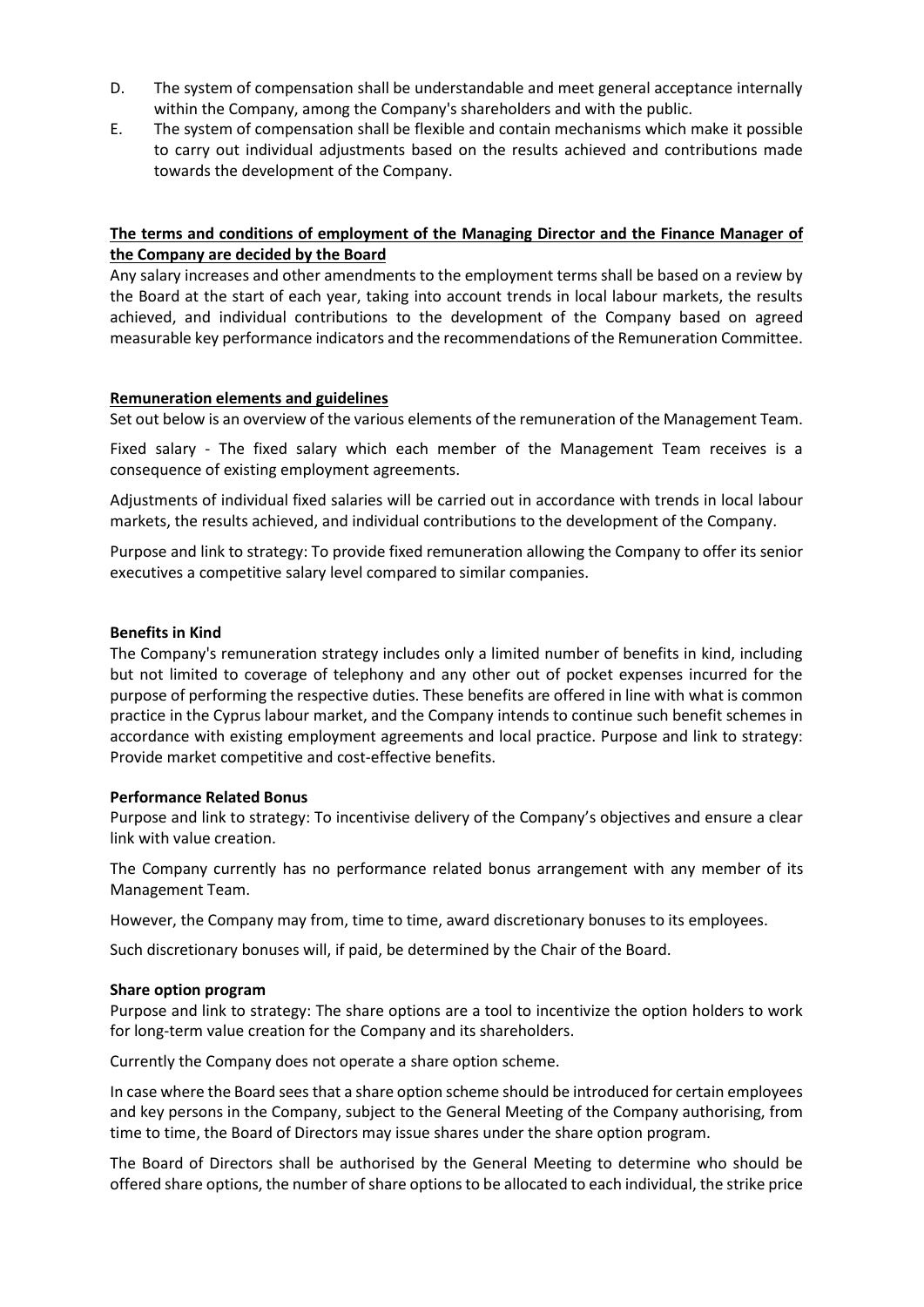- D. The system of compensation shall be understandable and meet general acceptance internally within the Company, among the Company's shareholders and with the public.
- E. The system of compensation shall be flexible and contain mechanisms which make it possible to carry out individual adjustments based on the results achieved and contributions made towards the development of the Company.

# **The terms and conditions of employment of the Managing Director and the Finance Manager of the Company are decided by the Board**

Any salary increases and other amendments to the employment terms shall be based on a review by the Board at the start of each year, taking into account trends in local labour markets, the results achieved, and individual contributions to the development of the Company based on agreed measurable key performance indicators and the recommendations of the Remuneration Committee.

### **Remuneration elements and guidelines**

Set out below is an overview of the various elements of the remuneration of the Management Team.

Fixed salary - The fixed salary which each member of the Management Team receives is a consequence of existing employment agreements.

Adjustments of individual fixed salaries will be carried out in accordance with trends in local labour markets, the results achieved, and individual contributions to the development of the Company.

Purpose and link to strategy: To provide fixed remuneration allowing the Company to offer its senior executives a competitive salary level compared to similar companies.

#### **Benefits in Kind**

The Company's remuneration strategy includes only a limited number of benefits in kind, including but not limited to coverage of telephony and any other out of pocket expenses incurred for the purpose of performing the respective duties. These benefits are offered in line with what is common practice in the Cyprus labour market, and the Company intends to continue such benefit schemes in accordance with existing employment agreements and local practice. Purpose and link to strategy: Provide market competitive and cost-effective benefits.

#### **Performance Related Bonus**

Purpose and link to strategy: To incentivise delivery of the Company's objectives and ensure a clear link with value creation.

The Company currently has no performance related bonus arrangement with any member of its Management Team.

However, the Company may from, time to time, award discretionary bonuses to its employees.

Such discretionary bonuses will, if paid, be determined by the Chair of the Board.

#### **Share option program**

Purpose and link to strategy: The share options are a tool to incentivize the option holders to work for long-term value creation for the Company and its shareholders.

Currently the Company does not operate a share option scheme.

In case where the Board sees that a share option scheme should be introduced for certain employees and key persons in the Company, subject to the General Meeting of the Company authorising, from time to time, the Board of Directors may issue shares under the share option program.

The Board of Directors shall be authorised by the General Meeting to determine who should be offered share options, the number of share options to be allocated to each individual, the strike price